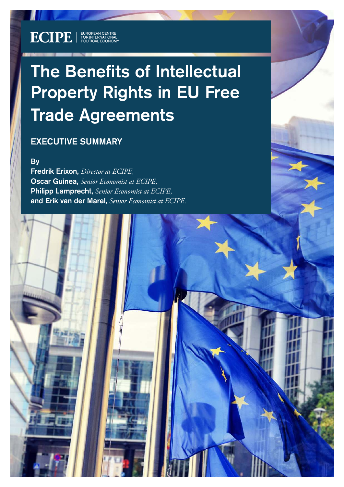# The Benefits of Intellectual Property Rights in EU Free Trade Agreements

ECIPE OCCASIONAL PAPER — 1/2022

# EXECUTIVE SUMMARY

**ECIPE** | EUROPEAN CENTRE

**B**<sub>v</sub>

Fredrik Erixon, *Director at ECIPE,* Oscar Guinea, *Senior Economist at ECIPE,* Philipp Lamprecht, *Senior Economist at ECIPE,* and Erik van der Marel, *Senior Economist at ECIPE.*

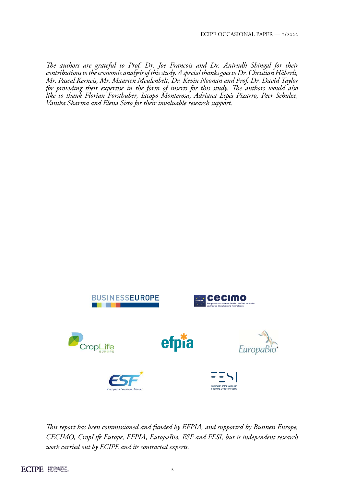*The authors are grateful to Prof. Dr. Joe Francois and Dr. Anirudh Shingal for their contributions to the economic analysis of this study. A special thanks goes to Dr. Christian Häberli, Mr. Pascal Kerneis, Mr. Maarten Meulenbelt, Dr. Kevin Noonan and Prof. Dr. David Taylor for providing their expertise in the form of inserts for this study. The authors would also like to thank Florian Forsthuber, Iacopo Monterosa, Adriana Espés Pizarro, Peer Schulze, Vanika Sharma and Elena Sisto for their invaluable research support.*



*This report has been commissioned and funded by EFPIA, and supported by Business Europe, CECIMO, CropLife Europe, EFPIA, EuropaBio, ESF and FESI, but is independent research work carried out by ECIPE and its contracted experts.*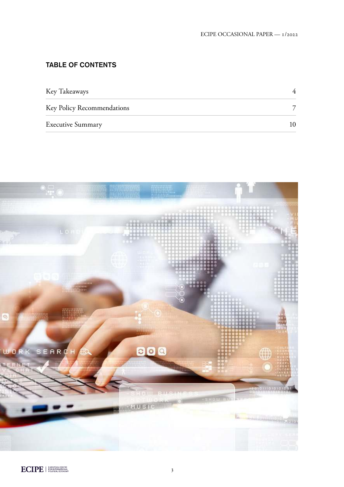# TABLE OF CONTENTS

| Key Takeaways              |  |
|----------------------------|--|
| Key Policy Recommendations |  |
| <b>Executive Summary</b>   |  |

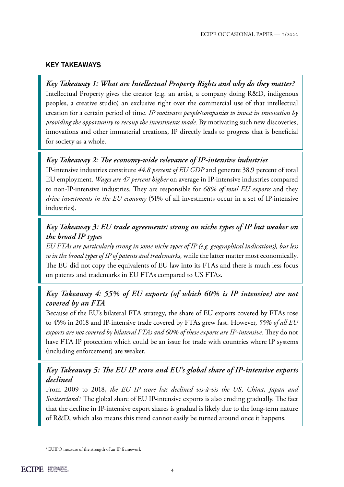### <span id="page-3-0"></span>KEY TAKEAWAYS

*Key Takeaway 1: What are Intellectual Property Rights and why do they matter?* Intellectual Property gives the creator (e.g. an artist, a company doing R&D, indigenous peoples, a creative studio) an exclusive right over the commercial use of that intellectual creation for a certain period of time. *IP motivates people/companies to invest in innovation by providing the opportunity to recoup the investments made.* By motivating such new discoveries, innovations and other immaterial creations, IP directly leads to progress that is beneficial for society as a whole.

## *Key Takeaway 2: The economy-wide relevance of IP-intensive industries*

IP-intensive industries constitute *44.8 percent of EU GDP* and generate 38.9 percent of total EU employment. *Wages are 47 percent higher* on average in IP-intensive industries compared to non-IP-intensive industries. They are responsible for *68% of total EU exports* and they *drive investments in the EU economy* (51% of all investments occur in a set of IP-intensive industries).

## *Key Takeaway 3: EU trade agreements: strong on niche types of IP but weaker on the broad IP types*

*EU FTAs are particularly strong in some niche types of IP (e.g. geographical indications), but less so in the broad types of IP of patents and trademarks,* while the latter matter most economically. The EU did not copy the equivalents of EU law into its FTAs and there is much less focus on patents and trademarks in EU FTAs compared to US FTAs.

# *Key Takeaway 4: 55% of EU exports (of which 60% is IP intensive) are not covered by an FTA*

Because of the EU's bilateral FTA strategy, the share of EU exports covered by FTAs rose to 45% in 2018 and IP-intensive trade covered by FTAs grew fast. However, *55% of all EU exports are not covered by bilateral FTAs and 60% of these exports are IP-intensive.* They do not have FTA IP protection which could be an issue for trade with countries where IP systems (including enforcement) are weaker.

# *Key Takeaway 5: The EU IP score and EU's global share of IP-intensive exports declined*

From 2009 to 2018, *the EU IP score has declined vis-à-vis the US, China, Japan and Switzerland*. 1 The global share of EU IP-intensive exports is also eroding gradually. The fact that the decline in IP-intensive export shares is gradual is likely due to the long-term nature of R&D, which also means this trend cannot easily be turned around once it happens.

<sup>&</sup>lt;sup>1</sup> EUIPO measure of the strength of an IP framework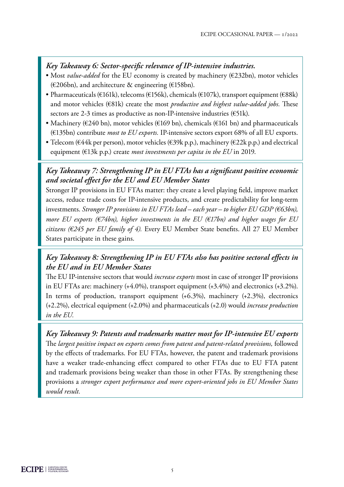## *Key Takeaway 6: Sector-specific relevance of IP-intensive industries.*

- Most *value-added* for the EU economy is created by machinery (€232bn), motor vehicles (€206bn), and architecture & engineering (€158bn).
- Pharmaceuticals (€161k), telecoms (€156k), chemicals (€107k), transport equipment (€88k) and motor vehicles (€81k) create the most *productive and highest value-added jobs.* These sectors are 2-3 times as productive as non-IP-intensive industries (€51k).
- Machinery ( $\epsilon$ 240 bn), motor vehicles ( $\epsilon$ 169 bn), chemicals ( $\epsilon$ 161 bn) and pharmaceuticals (€135bn) contribute *most to EU exports.* IP-intensive sectors export 68% of all EU exports.
- Telecom (€44k per person), motor vehicles (€39k p.p.), machinery (€22k p.p.) and electrical equipment (€13k p.p.) create *most investments per capita in the EU* in 2019.

## *Key Takeaway 7: Strengthening IP in EU FTAs has a significant positive economic and societal effect for the EU and EU Member States*

Stronger IP provisions in EU FTAs matter: they create a level playing field, improve market access, reduce trade costs for IP-intensive products, and create predictability for long-term investments. *Stronger IP provisions in EU FTAs lead – each year – to higher EU GDP (€63bn), more EU exports (€74bn), higher investments in the EU (€17bn) and higher wages for EU citizens (€245 per EU family of 4).* Every EU Member State benefits. All 27 EU Member States participate in these gains.

# *Key Takeaway 8: Strengthening IP in EU FTAs also has positive sectoral effects in the EU and in EU Member States*

The EU IP-intensive sectors that would *increase exports* most in case of stronger IP provisions in EU FTAs are: machinery (+4.0%), transport equipment (+3.4%) and electronics (+3.2%). In terms of production, transport equipment (+6.3%), machinery (+2.3%), electronics (+2.2%), electrical equipment (+2.0%) and pharmaceuticals (+2.0) would *increase production in the EU.*

*Key Takeaway 9: Patents and trademarks matter most for IP-intensive EU exports* The *largest positive impact on exports comes from patent and patent-related provisions*, followed by the effects of trademarks. For EU FTAs, however, the patent and trademark provisions have a weaker trade-enhancing effect compared to other FTAs due to EU FTA patent and trademark provisions being weaker than those in other FTAs. By strengthening these provisions a *stronger export performance and more export-oriented jobs in EU Member States would result.*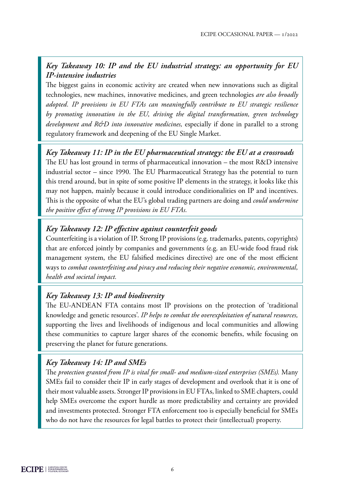# *Key Takeaway 10: IP and the EU industrial strategy: an opportunity for EU IP-intensive industries*

The biggest gains in economic activity are created when new innovations such as digital technologies, new machines, innovative medicines, and green technologies *are also broadly adopted. IP provisions in EU FTAs can meaningfully contribute to EU strategic resilience by promoting innovation in the EU, driving the digital transformation, green technology development and R&D into innovative medicines,* especially if done in parallel to a strong regulatory framework and deepening of the EU Single Market.

*Key Takeaway 11: IP in the EU pharmaceutical strategy: the EU at a crossroads* The EU has lost ground in terms of pharmaceutical innovation – the most R&D intensive industrial sector – since 1990. The EU Pharmaceutical Strategy has the potential to turn this trend around, but in spite of some positive IP elements in the strategy, it looks like this may not happen, mainly because it could introduce conditionalities on IP and incentives. This is the opposite of what the EU's global trading partners are doing and *could undermine the positive effect of strong IP provisions in EU FTAs.*

# *Key Takeaway 12: IP effective against counterfeit goods*

Counterfeiting is a violation of IP. Strong IP provisions (e.g. trademarks, patents, copyrights) that are enforced jointly by companies and governments (e.g. an EU-wide food fraud risk management system, the EU falsified medicines directive) are one of the most efficient ways to *combat counterfeiting and piracy and reducing their negative economic, environmental, health and societal impact.* 

## *Key Takeaway 13: IP and biodiversity*

The EU-ANDEAN FTA contains most IP provisions on the protection of 'traditional knowledge and genetic resources'. *IP helps to combat the overexploitation of natural resources,*  supporting the lives and livelihoods of indigenous and local communities and allowing these communities to capture larger shares of the economic benefits, while focusing on preserving the planet for future generations.

# *Key Takeaway 14: IP and SMEs*

The *protection granted from IP is vital for small- and medium-sized enterprises (SMEs).* Many SMEs fail to consider their IP in early stages of development and overlook that it is one of their most valuable assets. Stronger IP provisions in EU FTAs, linked to SME chapters, could help SMEs overcome the export hurdle as more predictability and certainty are provided and investments protected. Stronger FTA enforcement too is especially beneficial for SMEs who do not have the resources for legal battles to protect their (intellectual) property.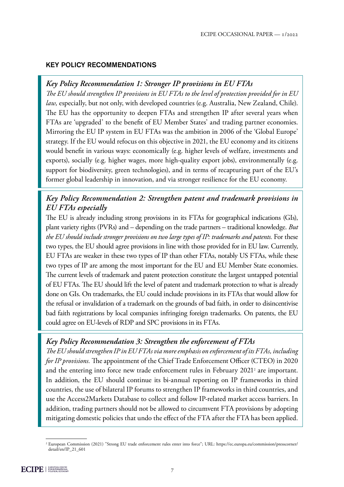#### <span id="page-6-0"></span>KEY POLICY RECOMMENDATIONS

## *Key Policy Recommendation 1: Stronger IP provisions in EU FTAs*

*The EU should strengthen IP provisions in EU FTAs to the level of protection provided for in EU law,* especially, but not only, with developed countries (e.g. Australia, New Zealand, Chile). The EU has the opportunity to deepen FTAs and strengthen IP after several years when FTAs are 'upgraded' to the benefit of EU Member States' and trading partner economies. Mirroring the EU IP system in EU FTAs was the ambition in 2006 of the 'Global Europe' strategy. If the EU would refocus on this objective in 2021, the EU economy and its citizens would benefit in various ways: economically (e.g. higher levels of welfare, investments and exports), socially (e.g. higher wages, more high-quality export jobs), environmentally (e.g. support for biodiversity, green technologies), and in terms of recapturing part of the EU's former global leadership in innovation, and via stronger resilience for the EU economy.

# *Key Policy Recommendation 2: Strengthen patent and trademark provisions in EU FTAs especially*

The EU is already including strong provisions in its FTAs for geographical indications (GIs), plant variety rights (PVRs) and – depending on the trade partners – traditional knowledge. *But the EU should include stronger provisions on two large types of IP: trademarks and patents.* For these two types, the EU should agree provisions in line with those provided for in EU law. Currently, EU FTAs are weaker in these two types of IP than other FTAs, notably US FTAs, while these two types of IP are among the most important for the EU and EU Member State economies. The current levels of trademark and patent protection constitute the largest untapped potential of EU FTAs. The EU should lift the level of patent and trademark protection to what is already done on GIs. On trademarks, the EU could include provisions in its FTAs that would allow for the refusal or invalidation of a trademark on the grounds of bad faith, in order to disincentivise bad faith registrations by local companies infringing foreign trademarks. On patents, the EU could agree on EU-levels of RDP and SPC provisions in its FTAs.

## *Key Policy Recommendation 3: Strengthen the enforcement of FTAs*

*The EU should strengthen IP in EU FTAs via more emphasis on enforcement of its FTAs, including for IP provisions.* The appointment of the Chief Trade Enforcement Officer (CTEO) in 2020 and the entering into force new trade enforcement rules in February 2021<sup>2</sup> are important. In addition, the EU should continue its bi-annual reporting on IP frameworks in third countries, the use of bilateral IP forums to strengthen IP frameworks in third countries, and use the Access2Markets Database to collect and follow IP-related market access barriers. In addition, trading partners should not be allowed to circumvent FTA provisions by adopting mitigating domestic policies that undo the effect of the FTA after the FTA has been applied.

<sup>2</sup> European Commission (2021) "Strong EU trade enforcement rules enter into force"; URL: [https://ec.europa.eu/commission/presscorner/](https://ec.europa.eu/commission/presscorner/detail/en/IP_21_601) [detail/en/IP\\_21\\_601](https://ec.europa.eu/commission/presscorner/detail/en/IP_21_601)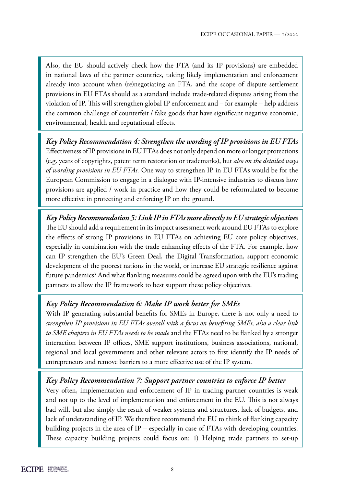Also, the EU should actively check how the FTA (and its IP provisions) are embedded in national laws of the partner countries, taking likely implementation and enforcement already into account when (re)negotiating an FTA, and the scope of dispute settlement provisions in EU FTAs should as a standard include trade-related disputes arising from the violation of IP. This will strengthen global IP enforcement and – for example – help address the common challenge of counterfeit / fake goods that have significant negative economic, environmental, health and reputational effects.

*Key Policy Recommendation 4: Strengthen the wording of IP provisions in EU FTAs* Effectiveness of IP provisions in EU FTAs does not only depend on more or longer protections (e.g. years of copyrights, patent term restoration or trademarks), but *also on the detailed ways of wording provisions in EU FTAs.* One way to strengthen IP in EU FTAs would be for the European Commission to engage in a dialogue with IP-intensive industries to discuss how provisions are applied / work in practice and how they could be reformulated to become more effective in protecting and enforcing IP on the ground.

*Key Policy Recommendation 5: Link IP in FTAs more directly to EU strategic objectives* The EU should add a requirement in its impact assessment work around EU FTAs to explore the effects of strong IP provisions in EU FTAs on achieving EU core policy objectives, especially in combination with the trade enhancing effects of the FTA. For example, how can IP strengthen the EU's Green Deal, the Digital Transformation, support economic development of the poorest nations in the world, or increase EU strategic resilience against future pandemics? And what flanking measures could be agreed upon with the EU's trading partners to allow the IP framework to best support these policy objectives.

## *Key Policy Recommendation 6: Make IP work better for SMEs*

With IP generating substantial benefits for SMEs in Europe, there is not only a need to *strengthen IP provisions in EU FTAs overall with a focus on benefiting SMEs, also a clear link to SME chapters in EU FTAs needs to be made* and the FTAs need to be flanked by a stronger interaction between IP offices, SME support institutions, business associations, national, regional and local governments and other relevant actors to first identify the IP needs of entrepreneurs and remove barriers to a more effective use of the IP system.

#### *Key Policy Recommendation 7: Support partner countries to enforce IP better*

Very often, implementation and enforcement of IP in trading partner countries is weak and not up to the level of implementation and enforcement in the EU. This is not always bad will, but also simply the result of weaker systems and structures, lack of budgets, and lack of understanding of IP. We therefore recommend the EU to think of flanking capacity building projects in the area of IP – especially in case of FTAs with developing countries. These capacity building projects could focus on: 1) Helping trade partners to set-up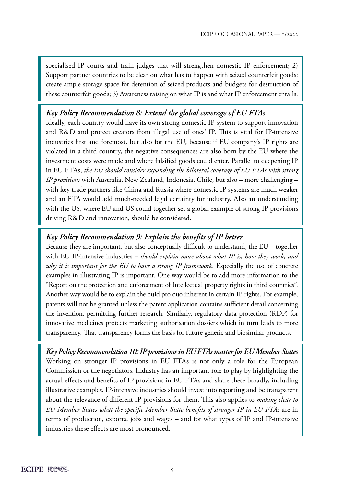specialised IP courts and train judges that will strengthen domestic IP enforcement; 2) Support partner countries to be clear on what has to happen with seized counterfeit goods: create ample storage space for detention of seized products and budgets for destruction of these counterfeit goods; 3) Awareness raising on what IP is and what IP enforcement entails.

## *Key Policy Recommendation 8: Extend the global coverage of EU FTAs*

Ideally, each country would have its own strong domestic IP system to support innovation and R&D and protect creators from illegal use of ones' IP. This is vital for IP-intensive industries first and foremost, but also for the EU, because if EU company's IP rights are violated in a third country, the negative consequences are also born by the EU where the investment costs were made and where falsified goods could enter. Parallel to deepening IP in EU FTAs, *the EU should consider expanding the bilateral coverage of EU FTAs with strong IP provisions* with Australia, New Zealand, Indonesia, Chile, but also – more challenging – with key trade partners like China and Russia where domestic IP systems are much weaker and an FTA would add much-needed legal certainty for industry. Also an understanding with the US, where EU and US could together set a global example of strong IP provisions driving R&D and innovation, should be considered.

## *Key Policy Recommendation 9: Explain the benefits of IP better*

Because they are important, but also conceptually difficult to understand, the EU – together with EU IP-intensive industries – *should explain more about what IP is, how they work, and why it is important for the EU to have a strong IP framework.* Especially the use of concrete examples in illustrating IP is important. One way would be to add more information to the "Report on the protection and enforcement of Intellectual property rights in third countries". Another way would be to explain the quid pro quo inherent in certain IP rights. For example, patents will not be granted unless the patent application contains sufficient detail concerning the invention, permitting further research. Similarly, regulatory data protection (RDP) for innovative medicines protects marketing authorisation dossiers which in turn leads to more transparency. That transparency forms the basis for future generic and biosimilar products.

*Key Policy Recommendation 10: IP provisions in EU FTAs matter for EU Member States* Working on stronger IP provisions in EU FTAs is not only a role for the European Commission or the negotiators. Industry has an important role to play by highlighting the actual effects and benefits of IP provisions in EU FTAs and share these broadly, including illustrative examples. IP-intensive industries should invest into reporting and be transparent about the relevance of different IP provisions for them. This also applies to *making clear to EU Member States what the specific Member State benefits of stronger IP in EU FTAs* are in terms of production, exports, jobs and wages – and for what types of IP and IP-intensive industries these effects are most pronounced.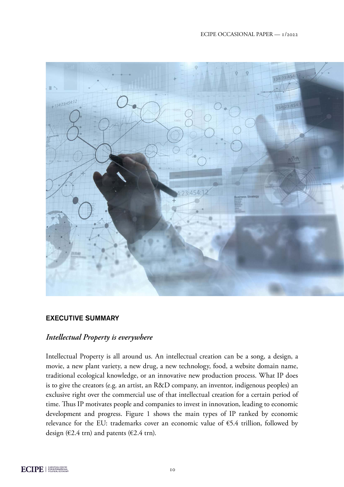#### ECIPE OCCASIONAL PAPER — 1/2022

<span id="page-9-0"></span>

#### EXECUTIVE SUMMARY

#### *Intellectual Property is everywhere*

Intellectual Property is all around us. An intellectual creation can be a song, a design, a movie, a new plant variety, a new drug, a new technology, food, a website domain name, traditional ecological knowledge, or an innovative new production process. What IP does is to give the creators (e.g. an artist, an R&D company, an inventor, indigenous peoples) an exclusive right over the commercial use of that intellectual creation for a certain period of time. Thus IP motivates people and companies to invest in innovation, leading to economic development and progress. Figure 1 shows the main types of IP ranked by economic relevance for the EU: trademarks cover an economic value of €5.4 trillion, followed by design ( $\epsilon$ 2.4 trn) and patents ( $\epsilon$ 2.4 trn).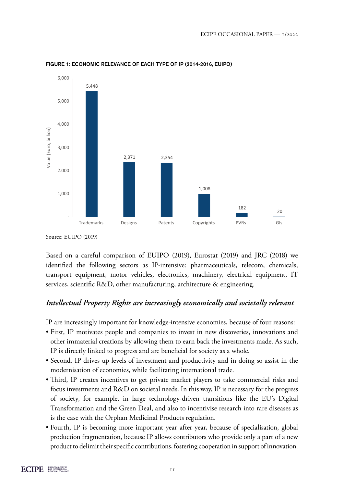

FIGURE 1: ECONOMIC RELEVANCE OF EACH TYPE OF IP (2014-2016, EUIPO)

Source: EUIPO (2019)

Based on a careful comparison of EUIPO (2019), Eurostat (2019) and JRC (2018) we identified the following sectors as IP-intensive: pharmaceuticals, telecom, chemicals, transport equipment, motor vehicles, electronics, machinery, electrical equipment, IT services, scientific R&D, other manufacturing, architecture & engineering.

# *Intellectual Property Rights are increasingly economically and societally relevant*

IP are increasingly important for knowledge-intensive economies, because of four reasons:

- First, IP motivates people and companies to invest in new discoveries, innovations and other immaterial creations by allowing them to earn back the investments made. As such, IP is directly linked to progress and are beneficial for society as a whole.
- Second, IP drives up levels of investment and productivity and in doing so assist in the modernisation of economies, while facilitating international trade.
- Third, IP creates incentives to get private market players to take commercial risks and focus investments and R&D on societal needs. In this way, IP is necessary for the progress of society, for example, in large technology-driven transitions like the EU's Digital Transformation and the Green Deal, and also to incentivise research into rare diseases as is the case with the Orphan Medicinal Products regulation.
- Fourth, IP is becoming more important year after year, because of specialisation, global production fragmentation, because IP allows contributors who provide only a part of a new product to delimit their specific contributions, fostering cooperation in support of innovation.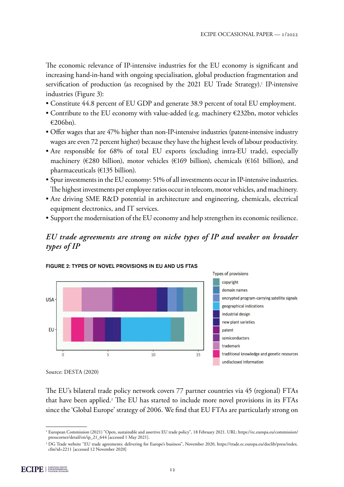The economic relevance of IP-intensive industries for the EU economy is significant and increasing hand-in-hand with ongoing specialisation, global production fragmentation and servification of production (as recognised by the 2021 EU Trade Strategy).<sup>1</sup> IP-intensive industries (Figure 3):

- Constitute 44.8 percent of EU GDP and generate 38.9 percent of total EU employment.
- Contribute to the EU economy with value-added (e.g. machinery €232bn, motor vehicles €206bn).
- Offer wages that are 47% higher than non-IP-intensive industries (patent-intensive industry wages are even 72 percent higher) because they have the highest levels of labour productivity.
- Are responsible for 68% of total EU exports (excluding intra-EU trade), especially machinery (€280 billion), motor vehicles (€169 billion), chemicals (€161 billion), and pharmaceuticals (€135 billion).
- Spur investments in the EU economy: 51% of all investments occur in IP-intensive industries. The highest investments per employee ratios occur in telecom, motor vehicles, and machinery.
- Are driving SME R&D potential in architecture and engineering, chemicals, electrical equipment electronics, and IT services.
- Support the modernisation of the EU economy and help strengthen its economic resilience.

# *EU trade agreements are strong on niche types of IP and weaker on broader types of IP*





The EU's bilateral trade policy network covers 77 partner countries via 45 (regional) FTAs that have been applied.<sup>2</sup> The EU has started to include more novel provisions in its FTAs since the 'Global Europe' strategy of 2006. We find that EU FTAs are particularly strong on

Source: DESTA (2020)

<sup>1</sup> European Commission (2021) "Open, sustainable and assertive EU trade policy", 18 February 2021. URL: [https://ec.europa.eu/commission/](https://ec.europa.eu/commission/presscorner/detail/en/ip_21_644) [presscorner/detail/en/ip\\_21\\_644](https://ec.europa.eu/commission/presscorner/detail/en/ip_21_644) [accessed 1 May 2021].

<sup>2</sup> DG Trade website "EU trade agreements: delivering for Europe's business", November 2020, [https://trade.ec.europa.eu/doclib/press/index.](https://trade.ec.europa.eu/doclib/press/index.cfm?id=2211) [cfm?id=2211](https://trade.ec.europa.eu/doclib/press/index.cfm?id=2211) [accessed 12 November 2020]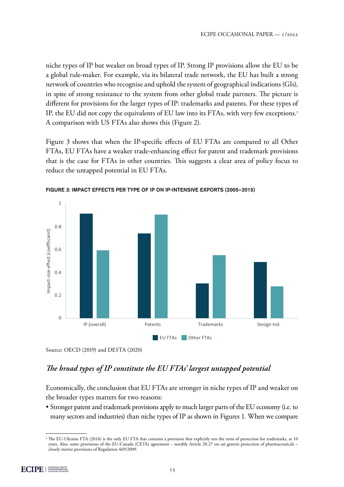niche types of IP but weaker on broad types of IP. Strong IP provisions allow the EU to be a global rule-maker. For example, via its bilateral trade network, the EU has built a strong network of countries who recognise and uphold the system of geographical indications (GIs), in spite of strong resistance to the system from other global trade partners. The picture is different for provisions for the larger types of IP: trademarks and patents. For these types of IP, the EU did not copy the equivalents of EU law into its FTAs, with very few exceptions.<sup>3</sup> A comparison with US FTAs also shows this (Figure 2).

Figure 3 shows that when the IP-specific effects of EU FTAs are compared to all Other FTAs, EU FTAs have a weaker trade-enhancing effect for patent and trademark provisions that is the case for FTAs in other countries. This suggests a clear area of policy focus to reduce the untapped potential in EU FTAs.



FIGURE 3: IMPACT EFFECTS PER TYPE OF IP ON IP-INTENSIVE EXPORTS (2005–2015)

## *The broad types of IP constitute the EU FTAs' largest untapped potential*

Economically, the conclusion that EU FTAs are stronger in niche types of IP and weaker on the broader types matters for two reasons:

• Stronger patent and trademark provisions apply to much larger parts of the EU economy (i.e. to many sectors and industries) than niche types of IP as shown in Figures 1. When we compare

Source: OECD (2019) and DESTA (2020)

<sup>&</sup>lt;sup>3</sup> The EU-Ukraine FTA (2016) is the only EU FTA that contains a provision that explicitly sets the term of protection for trademarks, at 10 years. Also, some provisions of the EU-Canada (CETA) agreement – notably Article 20.27 on sui generis protection of pharmaceuticals – closely mirror provisions of Regulation 469/2009.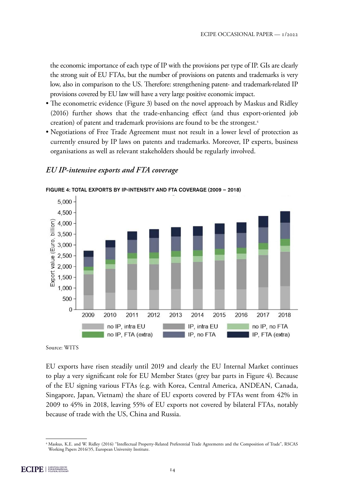the economic importance of each type of IP with the provisions per type of IP. GIs are clearly the strong suit of EU FTAs, but the number of provisions on patents and trademarks is very low, also in comparison to the US. Therefore: strengthening patent- and trademark-related IP provisions covered by EU law will have a very large positive economic impact.

- The econometric evidence (Figure 3) based on the novel approach by Maskus and Ridley (2016) further shows that the trade-enhancing effect (and thus export-oriented job creation) of patent and trademark provisions are found to be the strongest.<sup>4</sup>
- Negotiations of Free Trade Agreement must not result in a lower level of protection as currently ensured by IP laws on patents and trademarks. Moreover, IP experts, business organisations as well as relevant stakeholders should be regularly involved.

#### *EU IP-intensive exports and FTA coverage*



FIGURE 4: TOTAL EXPORTS BY IP-INTENSITY AND FTA COVERAGE (2009 – 2018)

EU exports have risen steadily until 2019 and clearly the EU Internal Market continues to play a very significant role for EU Member States (grey bar parts in Figure 4). Because of the EU signing various FTAs (e.g. with Korea, Central America, ANDEAN, Canada, Singapore, Japan, Vietnam) the share of EU exports covered by FTAs went from 42% in 2009 to 45% in 2018, leaving 55% of EU exports not covered by bilateral FTAs, notably because of trade with the US, China and Russia.

Source: WITS

<sup>4</sup> Maskus, K.E. and W. Ridley (2016) "Intellectual Property-Related Preferential Trade Agreements and the Composition of Trade", RSCAS Working Papers 2016/35, European University Institute.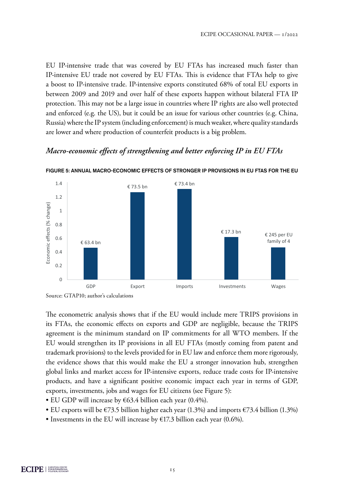EU IP-intensive trade that was covered by EU FTAs has increased much faster than IP-intensive EU trade not covered by EU FTAs. This is evidence that FTAs help to give a boost to IP-intensive trade. IP-intensive exports constituted 68% of total EU exports in between 2009 and 2019 and over half of these exports happen without bilateral FTA IP protection. This may not be a large issue in countries where IP rights are also well protected and enforced (e.g. the US), but it could be an issue for various other countries (e.g. China, Russia) where the IP system (including enforcement) is much weaker, where quality standards are lower and where production of counterfeit products is a big problem.

#### *Macro-economic effects of strengthening and better enforcing IP in EU FTAs*



FIGURE 5: ANNUAL MACRO-ECONOMIC EFFECTS OF STRONGER IP PROVISIONS IN EU FTAS FOR THE EU

The econometric analysis shows that if the EU would include mere TRIPS provisions in its FTAs, the economic effects on exports and GDP are negligible, because the TRIPS agreement is the minimum standard on IP commitments for all WTO members. If the EU would strengthen its IP provisions in all EU FTAs (mostly coming from patent and trademark provisions) to the levels provided for in EU law and enforce them more rigorously, the evidence shows that this would make the EU a stronger innovation hub, strengthen global links and market access for IP-intensive exports, reduce trade costs for IP-intensive products, and have a significant positive economic impact each year in terms of GDP, exports, investments, jobs and wages for EU citizens (see Figure 5):

- EU GDP will increase by €63.4 billion each year (0.4%).
- EU exports will be  $\epsilon$ 73.5 billion higher each year (1.3%) and imports  $\epsilon$ 73.4 billion (1.3%)
- Investments in the EU will increase by  $E17.3$  billion each year (0.6%).

Source: GTAP10; author's calculations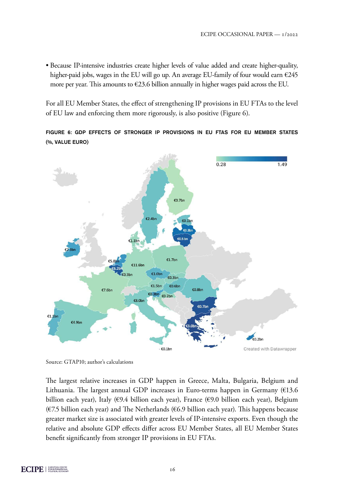• Because IP-intensive industries create higher levels of value added and create higher-quality, higher-paid jobs, wages in the EU will go up. An average EU-family of four would earn  $\epsilon$ 245 more per year. This amounts to  $\epsilon$ 23.6 billion annually in higher wages paid across the EU.

For all EU Member States, the effect of strengthening IP provisions in EU FTAs to the level of EU law and enforcing them more rigorously, is also positive (Figure 6).

FIGURE 6: GDP EFFECTS OF STRONGER IP PROVISIONS IN EU FTAS FOR EU MEMBER STATES (%, VALUE EURO)



Source: GTAP10; author's calculations

The largest relative increases in GDP happen in Greece, Malta, Bulgaria, Belgium and Lithuania. The largest annual GDP increases in Euro-terms happen in Germany ( $€13.6$ billion each year), Italy (€9.4 billion each year), France (€9.0 billion each year), Belgium ( $\epsilon$ 7.5 billion each year) and The Netherlands ( $\epsilon$ 6.9 billion each year). This happens because greater market size is associated with greater levels of IP-intensive exports. Even though the relative and absolute GDP effects differ across EU Member States, all EU Member States benefit significantly from stronger IP provisions in EU FTAs.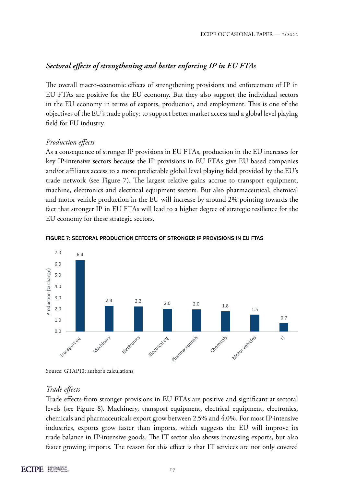# *Sectoral effects of strengthening and better enforcing IP in EU FTAs*

The overall macro-economic effects of strengthening provisions and enforcement of IP in EU FTAs are positive for the EU economy. But they also support the individual sectors in the EU economy in terms of exports, production, and employment. This is one of the objectives of the EU's trade policy: to support better market access and a global level playing field for EU industry.

## *Production effects*

As a consequence of stronger IP provisions in EU FTAs, production in the EU increases for key IP-intensive sectors because the IP provisions in EU FTAs give EU based companies and/or affiliates access to a more predictable global level playing field provided by the EU's trade network (see Figure 7). The largest relative gains accrue to transport equipment, machine, electronics and electrical equipment sectors. But also pharmaceutical, chemical and motor vehicle production in the EU will increase by around 2% pointing towards the fact that stronger IP in EU FTAs will lead to a higher degree of strategic resilience for the EU economy for these strategic sectors.



#### FIGURE 7: SECTORAL PRODUCTION EFFECTS OF STRONGER IP PROVISIONS IN EU FTAS

Source: GTAP10; author's calculations

## *Trade effects*

Trade effects from stronger provisions in EU FTAs are positive and significant at sectoral levels (see Figure 8). Machinery, transport equipment, electrical equipment, electronics, chemicals and pharmaceuticals export grow between 2.5% and 4.0%. For most IP-intensive industries, exports grow faster than imports, which suggests the EU will improve its trade balance in IP-intensive goods. The IT sector also shows increasing exports, but also faster growing imports. The reason for this effect is that IT services are not only covered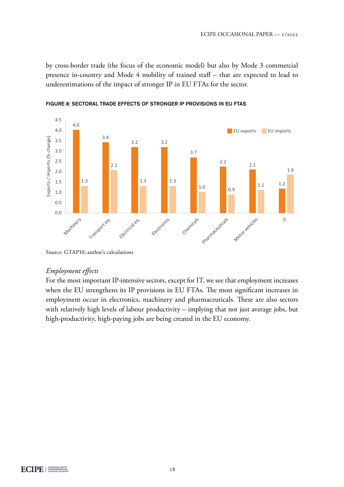by cross-border trade (the focus of the economic model) but also by Mode 3 commercial presence in-country and Mode 4 mobility of trained staff – that are expected to lead to underestimations of the impact of stronger IP in EU FTAs for the sector.



FIGURE 8: SECTORAL TRADE EFFECTS OF STRONGER IP PROVISIONS IN EU FTAS

#### *Employment effects*

For the most important IP-intensive sectors, except for IT, we see that employment increases when the EU strengthens its IP provisions in EU FTAs. The most significant increases in employment occur in electronics, machinery and pharmaceuticals. These are also sectors with relatively high levels of labour productivity – implying that not just average jobs, but high-productivity, high-paying jobs are being created in the EU economy.

Source: GTAP10; author's calculations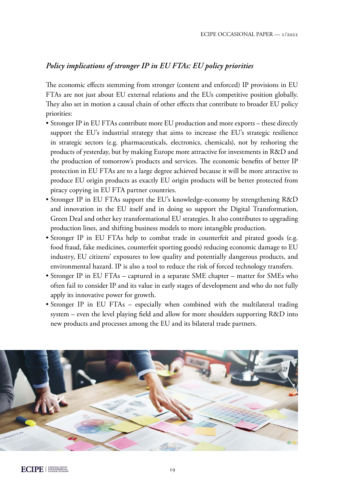## *Policy implications of stronger IP in EU FTAs: EU policy priorities*

The economic effects stemming from stronger (content and enforced) IP provisions in EU FTAs are not just about EU external relations and the EUs competitive position globally. They also set in motion a causal chain of other effects that contribute to broader EU policy priorities:

- Stronger IP in EU FTAs contribute more EU production and more exports these directly support the EU's industrial strategy that aims to increase the EU's strategic resilience in strategic sectors (e.g. pharmaceuticals, electronics, chemicals), not by reshoring the products of yesterday, but by making Europe more attractive for investments in R&D and the production of tomorrow's products and services. The economic benefits of better IP protection in EU FTAs are to a large degree achieved because it will be more attractive to produce EU origin products as exactly EU origin products will be better protected from piracy copying in EU FTA partner countries.
- Stronger IP in EU FTAs support the EU's knowledge-economy by strengthening R&D and innovation in the EU itself and in doing so support the Digital Transformation, Green Deal and other key transformational EU strategies. It also contributes to upgrading production lines, and shifting business models to more intangible production.
- Stronger IP in EU FTAs help to combat trade in counterfeit and pirated goods (e.g. food fraud, fake medicines, counterfeit sporting goods) reducing economic damage to EU industry, EU citizens' exposures to low quality and potentially dangerous products, and environmental hazard. IP is also a tool to reduce the risk of forced technology transfers.
- Stronger IP in EU FTAs captured in a separate SME chapter matter for SMEs who often fail to consider IP and its value in early stages of development and who do not fully apply its innovative power for growth.
- Stronger IP in EU FTAs especially when combined with the multilateral trading system – even the level playing field and allow for more shoulders supporting R&D into new products and processes among the EU and its bilateral trade partners.